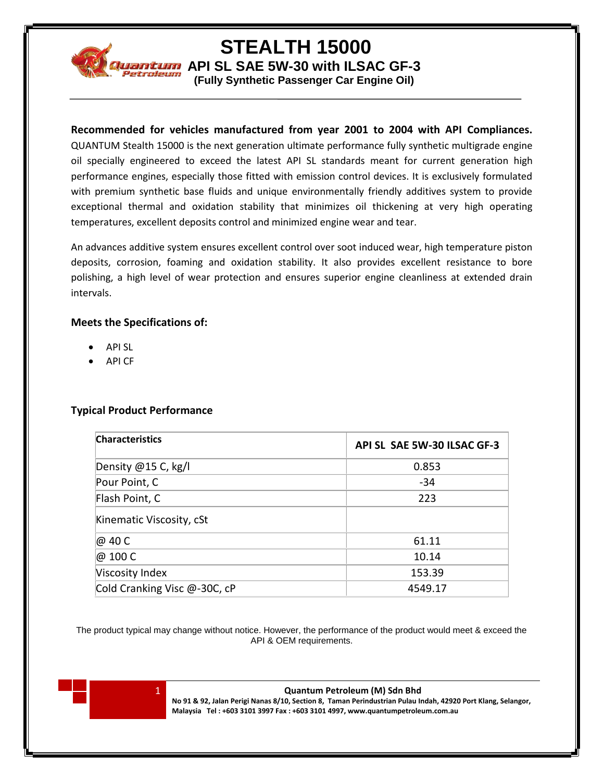

**STEALTH 15000**

**ADI CONTINUARY AND STATE SW-30 with ILSAC GF-3** 

**(Fully Synthetic Passenger Car Engine Oil)**

# **Recommended for vehicles manufactured from year 2001 to 2004 with API Compliances.**

QUANTUM Stealth 15000 is the next generation ultimate performance fully synthetic multigrade engine oil specially engineered to exceed the latest API SL standards meant for current generation high performance engines, especially those fitted with emission control devices. It is exclusively formulated with premium synthetic base fluids and unique environmentally friendly additives system to provide exceptional thermal and oxidation stability that minimizes oil thickening at very high operating temperatures, excellent deposits control and minimized engine wear and tear.

An advances additive system ensures excellent control over soot induced wear, high temperature piston deposits, corrosion, foaming and oxidation stability. It also provides excellent resistance to bore polishing, a high level of wear protection and ensures superior engine cleanliness at extended drain intervals.

### **Meets the Specifications of:**

- API SL
- API CF

# **Typical Product Performance**

| <b>Characteristics</b>       | API SL SAE 5W-30 ILSAC GF-3 |
|------------------------------|-----------------------------|
| Density @15 C, kg/l          | 0.853                       |
| Pour Point, C                | $-34$                       |
| Flash Point, C               | 223                         |
| Kinematic Viscosity, cSt     |                             |
| @ 40 C                       | 61.11                       |
| @ 100 C                      | 10.14                       |
| Viscosity Index              | 153.39                      |
| Cold Cranking Visc @-30C, cP | 4549.17                     |

The product typical may change without notice. However, the performance of the product would meet & exceed the API & OEM requirements.



1 **Quantum Petroleum (M) Sdn Bhd**

**No 91 & 92, Jalan Perigi Nanas 8/10, Section 8, Taman Perindustrian Pulau Indah, 42920 Port Klang, Selangor, Malaysia Tel : +603 3101 3997 Fax : +603 3101 4997, www.quantumpetroleum.com.au**